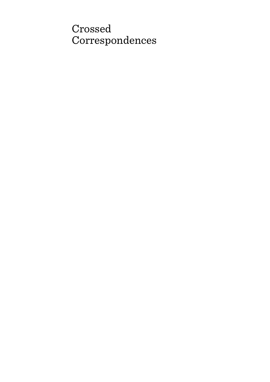# Crossed Correspondences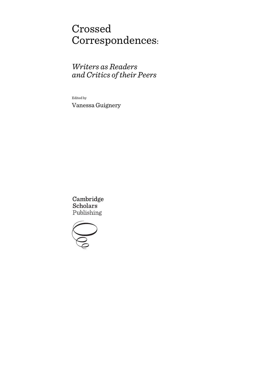# Crossed Correspondences:

## *Writers as Readers and Critics of their Peers*

Edited by

Vanessa Guignery

Cambridge **Scholars** Publishing

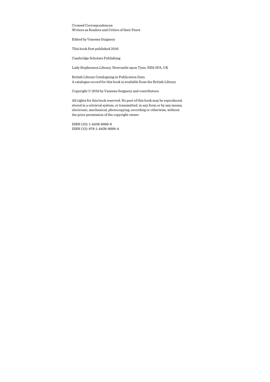Crossed Correspondences: Writers as Readers and Critics of their Peers

Edited by Vanessa Guignery

This book first published 2016

Cambridge Scholars Publishing

Lady Stephenson Library, Newcastle upon Tyne, NE6 2PA, UK

British Library Cataloguing in Publication Data A catalogue record for this book is available from the British Library

Copyright © 2016 by Vanessa Guignery and contributors

All rights for this book reserved. No part of this book may be reproduced, stored in a retrieval system, or transmitted, in any form or by any means, electronic, mechanical, photocopying, recording or otherwise, without the prior permission of the copyright owner.

ISBN (10): 1-4438-8699-8 ISBN (13): 978-1-4438-8699-4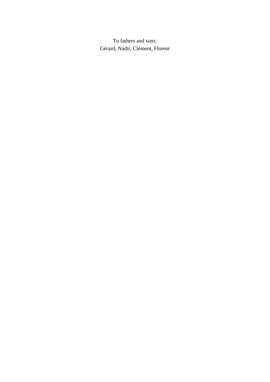To fathers and sons: Gérard, Nadir, Clément, Florent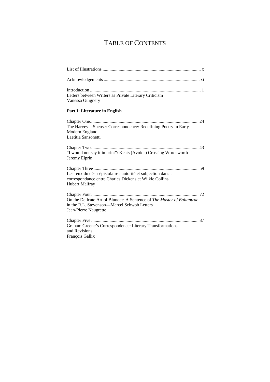# TABLE OF CONTENTS

| Letters between Writers as Private Literary Criticism<br>Vanessa Guignery                                                                         |
|---------------------------------------------------------------------------------------------------------------------------------------------------|
| Part I: Literature in English                                                                                                                     |
| The Harvey-Spenser Correspondence: Redefining Poetry in Early<br>Modern England<br>Laetitia Sansonetti                                            |
| "I would not say it in print": Keats (Avoids) Crossing Wordsworth<br>Jeremy Elprin                                                                |
| Les feux du désir épistolaire : autorité et subjection dans la<br>correspondance entre Charles Dickens et Wilkie Collins<br><b>Hubert Malfray</b> |
| On the Delicate Art of Blunder: A Sentence of The Master of Ballantrae<br>in the R.L. Stevenson-Marcel Schwob Letters<br>Jean-Pierre Naugrette    |
| Graham Greene's Correspondence: Literary Transformations<br>and Revisions<br>François Gallix                                                      |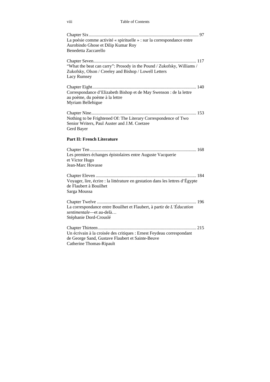viii Table of Contents

| La poésie comme activité « spirituelle » : sur la correspondance entre<br>Aurobindo Ghose et Dilip Kumar Roy<br><b>Benedetta Zaccarello</b>           |
|-------------------------------------------------------------------------------------------------------------------------------------------------------|
| "What the beat can carry": Prosody in the Pound / Zukofsky, Williams /<br>Zukofsky, Olson / Creeley and Bishop / Lowell Letters<br>Lacy Rumsey        |
| Correspondance d'Elizabeth Bishop et de May Swenson : de la lettre<br>au poème, du poème à la lettre<br>Myriam Bellehigue                             |
| Nothing to be Frightened Of: The Literary Correspondence of Two<br>Senior Writers, Paul Auster and J.M. Coetzee<br>Gerd Bayer                         |
| Part II: French Literature                                                                                                                            |
| 168<br>Les premiers échanges épistolaires entre Auguste Vacquerie<br>et Victor Hugo<br>Jean-Marc Hovasse                                              |
| Voyager, lire, écrire : la littérature en gestation dans les lettres d'Égypte<br>de Flaubert à Bouilhet<br>Sarga Moussa                               |
| La correspondance entre Bouilhet et Flaubert, à partir de L'Éducation<br>sentimentale-et au-delà<br>Stéphanie Dord-Crouslé                            |
| Un écrivain à la croisée des critiques : Ernest Feydeau correspondant<br>de George Sand, Gustave Flaubert et Sainte-Beuve<br>Catherine Thomas-Ripault |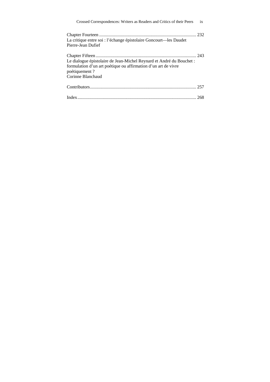| Crossed Correspondences: Writers as Readers and Critics of their Peers                                                                                                       | ix |
|------------------------------------------------------------------------------------------------------------------------------------------------------------------------------|----|
| La critique entre soi : l'échange épistolaire Goncourt-les Daudet<br>Pierre-Jean Dufief                                                                                      |    |
| Le dialogue épistolaire de Jean-Michel Reynard et André du Bouchet :<br>formulation d'un art poétique ou affirmation d'un art de vivre<br>poétiquement?<br>Corinne Blanchaud |    |
|                                                                                                                                                                              |    |
|                                                                                                                                                                              |    |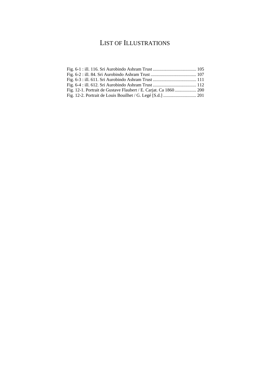## LIST OF ILLUSTRATIONS

| Fig. 12-1. Portrait de Gustave Flaubert / E. Carjat. Ca 1860 200 |  |
|------------------------------------------------------------------|--|
|                                                                  |  |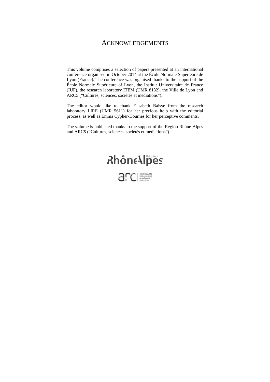### **ACKNOWLEDGEMENTS**

This volume comprises a selection of papers presented at an international conference o organised in O October 2014 at the École N Normale Supé érieure de Lyon (France). The conference was organised thanks to the support of the École Normale Supérieure of Lyon, the Institut Universitaire de France (IUF), the research laboratory ITEM (UMR 8132), the Ville de Lyon and ARC5 ("Cultures, sciences, sociétés et mediations").

The editor would like to thank Elisabeth Baïsse from the research laboratory LIRE (UMR 5611) for her precious help with the editorial process, as well as Emma Cypher-Dournes for her perceptive comments.

The volume is published thanks to the support of the Région Rhône-Alpes and ARC5 ("Cultures, sciences, sociétés et mediations").

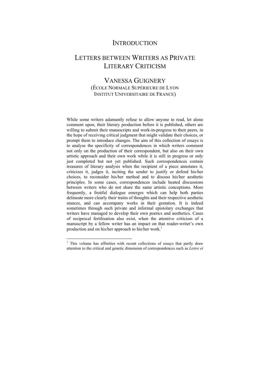### **INTRODUCTION**

## LETTERS BETWEEN WRITERS AS PRIVATE LITERARY CRITICISM

### VANESSA GUIGNERY (ÉCOLE NORMALE SUPÉRIEURE DE LYON INSTITUT UNIVERSITAIRE DE FRANCE)

While some writers adamantly refuse to allow anyone to read, let alone comment upon, their literary production before it is published, others are willing to submit their manuscripts and work-in-progress to their peers, in the hope of receiving critical judgment that might validate their choices, or prompt them to introduce changes. The aim of this collection of essays is to analyse the specificity of correspondences in which writers comment not only on the production of their correspondent, but also on their own artistic approach and their own work while it is still in progress or only just completed but not yet published. Such correspondences contain treasures of literary analysis when the recipient of a piece annotates it, criticizes it, judges it, inciting the sender to justify or defend his/her choices, to reconsider his/her method and to discuss his/her aesthetic principles. In some cases, correspondences include heated discussions between writers who do not share the same artistic conceptions. More frequently, a fruitful dialogue emerges which can help both parties delineate more clearly their trains of thoughts and their respective aesthetic stances, and can accompany works in their gestation. It is indeed sometimes through such private and informal epistolary exchanges that writers have managed to develop their own poetics and aesthetics. Cases of reciprocal fertilisation also exist, when the attentive criticism of a manuscript by a fellow writer has an impact on that reader-writer's own production and on his/her approach to his/her work.<sup>1</sup>

<sup>&</sup>lt;sup>1</sup> This volume has affinities with recent collections of essays that partly draw attention to the critical and genetic dimension of correspondences such as *Lettre et*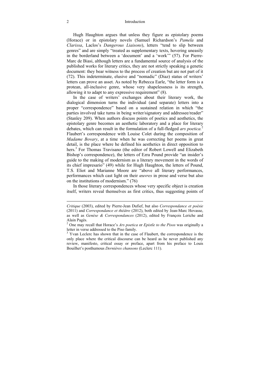Hugh Haughton argues that unless they figure as epistolary poems (Horace) or in epistolary novels (Samuel Richardson's *Pamela* and *Clarissa*, Laclos's *Dangerous Liaisons*), letters "tend to slip between genres" and are simply "treated as supplementary texts, hovering uneasily in the borderland between a 'document' and a 'work'" (57). For Pierre-Marc de Biasi, although letters are a fundamental source of analysis of the published works for literary critics, they are not strictly speaking a genetic document: they bear witness to the process of creation but are not part of it (72). This indeterminate, elusive and "nomadic" (Diaz) status of writers' letters can prove an asset. As noted by Rebecca Earle, "the letter form is a protean, all-inclusive genre, whose very shapelessness is its strength, allowing it to adapt to any expressive requirement" (8).

In the case of writers' exchanges about their literary work, the dialogical dimension turns the individual (and separate) letters into a proper "correspondence" based on a sustained relation in which "the parties involved take turns in being writer/signatory and addressee/reader" (Stanley 209). When authors discuss points of poetics and aesthetics, the epistolary genre becomes an aesthetic laboratory and a place for literary debates, which can result in the formulation of a full-fledged *ars poetica.*<sup>2</sup> Flaubert's correspondence with Louise Colet during the composition of *Madame Bovary*, at a time when he was correcting her poems in great detail, is the place where he defined his aesthetics in direct opposition to hers.<sup>3</sup> For Thomas Travisano (the editor of Robert Lowell and Elizabeth Bishop's correspondence), the letters of Ezra Pound provide "an insider's guide to the making of modernism as a literary movement in the words of its chief impresario" (49) while for Hugh Haughton, the letters of Pound, T.S. Eliot and Marianne Moore are "above all literary performances, performances which cast light on their *œuvres* in prose and verse but also on the institutions of modernism." (76)

In those literary correspondences whose very specific object is creation itself, writers reveal themselves as first critics, thus suggesting points of

*Critique* (2003), edited by Pierre-Jean Dufief, but also *Correspondance et poésie* (2011) and *Correspondance et théâtre* (2012), both edited by Jean-Marc Hovasse, as well as *Genèse & Correspondances* (2012), edited by François Leriche and Alain Pagès.

<sup>2</sup> One may recall that Horace's *Ars poetica* or *Epistle to the Pisos* was originally a letter in verse addressed to the Piso family.

<sup>&</sup>lt;sup>3</sup> Yvan Leclerc has shown that in the case of Flaubert, the correspondence is the only place where the critical discourse can be heard as he never published any review, manifesto, critical essay or preface, apart from his preface to Louis Bouilhet's posthumous *Dernières chansons* (Leclerc 111).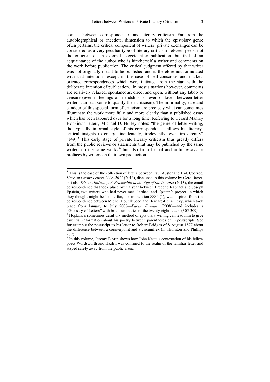contact between correspondences and literary criticism. Far from the autobiographical or anecdotal dimension to which the epistolary genre often pertains, the critical component of writers' private exchanges can be considered as a very peculiar type of literary criticism between peers: not the criticism of an external exegete after publication, but that of an acquaintance of the author who is him/herself a writer and comments on the work before publication. The critical judgment offered by that writer was not originally meant to be published and is therefore not formulated with that intention—except in the case of self-conscious and marketoriented correspondences which were initiated from the start with the deliberate intention of publication.<sup>4</sup> In most situations however, comments are relatively relaxed, spontaneous, direct and open, without any taboo or censure (even if feelings of friendship—or even of love—between letter writers can lead some to qualify their criticism). The informality, ease and candour of this special form of criticism are precisely what can sometimes illuminate the work more fully and more clearly than a published essay which has been laboured over for a long time. Referring to Gerard Manley Hopkins's letters, Michael D. Hurley notes: "the genre of letter writing, the typically informal style of his correspondence, allows his literarycritical insights to emerge incidentally, irrelevantly, even irreverently"  $(149)$ .<sup>5</sup> This early stage of private literary criticism thus greatly differs from the public reviews or statements that may be published by the same writers on the same works,<sup>6</sup> but also from formal and artful essays or prefaces by writers on their own production.

<sup>&</sup>lt;sup>4</sup> This is the case of the collection of letters between Paul Auster and J.M. Coetzee, *Here and Now: Letters 2008-2011* (2013), discussed in this volume by Gerd Bayer, but also *Distant Intimacy: A Friendship in the Age of the Internet* (2013), the email correspondence that took place over a year between Frederic Raphael and Joseph Epstein, two writers who had never met. Raphael and Epstein's project, in which they thought might be "some fun, not to mention \$\$\$" (1), was inspired from the correspondence between Michel Houellebecq and Bernard-Henri Lévy, which took place from January to July 2008—*Public Enemies* (2008)—and includes a "Glossary of Letters" with brief summaries of the twenty-eight letters (305-309). 5

<sup>&</sup>lt;sup>5</sup> Hopkins's sometimes desultory method of epistolary writing can lead him to give essential information about his poetry between parentheses or in postscripts. See for example the postscript to his letter to Robert Bridges of 8 August 1877 about the difference between a counterpoint and a circumflex (in Thornton and Phillips 277).

<sup>&</sup>lt;sup>6</sup> In this volume, Jeremy Elprin shows how John Keats's contestation of his fellow poets Wordsworth and Hazlitt was confined to the realm of the familiar letter and stayed safely away from the public arena.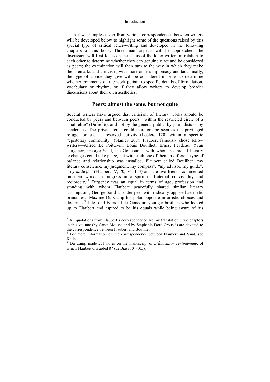A few examples taken from various correspondences between writers will be developed below to highlight some of the questions raised by this special type of critical letter-writing and developed in the following chapters of this book. Three main aspects will be approached: the discussion will first focus on the status of the letter-writers in relation to each other to determine whether they can genuinely act and be considered as peers; the examination will then turn to the way in which they make their remarks and criticism, with more or less diplomacy and tact; finally, the type of advice they give will be considered in order to determine whether comments on the work pertain to specific details of formulation, vocabulary or rhythm, or if they allow writers to develop broader discussions about their own aesthetics.

#### **Peers: almost the same, but not quite**

Several writers have argued that criticism of literary works should be conducted by peers and between peers, "within the restricted circle of a small elite" (Dufief 6), and not by the general public, by journalists or by academics. The private letter could therefore be seen as the privileged refuge for such a reserved activity (Leclerc 120) within a specific "epistolary community" (Stanley 203). Flaubert famously chose fellow writers—Alfred Le Poittevin, Louis Bouilhet, Ernest Feydeau, Yvan Turgenev, George Sand, the Goncourts—with whom reciprocal literary exchanges could take place, but with each one of them, a different type of balance and relationship was installed. Flaubert called Bouilhet "my literary conscience, my judgment, my compass", "my advisor, my guide", "my *midwife*" (Flaubert IV, 70, 76, 153) and the two friends commented on their works in progress in a spirit of fraternal conviviality and reciprocity.<sup>7</sup> Turgenev was an equal in terms of age, profession and standing with whom Flaubert peacefully shared similar literary assumptions, George Sand an older peer with radically opposed aesthetic principles,<sup>8</sup> Maxime Du Camp his polar opposite in artistic choices and doctrines,<sup>9</sup> Jules and Edmond de Goncourt younger brothers who looked up to Flaubert and aspired to be his equals while being aware of his

<sup>&</sup>lt;sup>7</sup> All quotations from Flaubert's correspondence are my translation. Two chapters in this volume (by Sarga Moussa and by Stéphanie Dord-Crouslé) are devoted to the correspondence between Flaubert and Bouilhet.

<sup>&</sup>lt;sup>8</sup> For more information on the correspondence between Flaubert and Sand, see Kallel.

<sup>9</sup> Du Camp made 251 notes on the manuscript of *L'Éducation sentimentale*, of which Flaubert discarded 87 (de Biasi 104-105).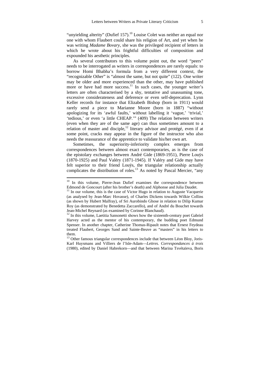"unyielding alterity" (Dufief 157).<sup>10</sup> Louise Colet was neither an equal nor one with whom Flaubert could share his religion of Art, and yet when he was writing *Madame Bovary*, she was the privileged recipient of letters in which he wrote about his frightful difficulties of composition and expounded his aesthetic principles.

As several contributors to this volume point out, the word "peers" needs to be interrogated as writers in correspondences are rarely equals: to borrow Homi Bhabha's formula from a very different context, the "recognizable Other" is "almost the same, but not quite" (122). One writer may be older and more experienced than the other, may have published more or have had more success.<sup>11</sup> In such cases, the younger writer's letters are often characterised by a shy, tentative and unassuming tone, excessive considerateness and deference or even self-deprecation. Lynn Keller records for instance that Elizabeth Bishop (born in 1911) would rarely send a piece to Marianne Moore (born in 1887) "without apologizing for its 'awful faults,' without labelling it 'vague,' 'trivial,' 'tedious,' or even 'a little CHEAP.'" (409) The relation between writers (even when they are of the same age) can thus sometimes amount to a relation of master and disciple,<sup>12</sup> literary advisor and protégé, even if at some point, cracks may appear in the figure of the instructor who also needs the reassurance of the apprentice to validate his/her own art.

Sometimes, the superiority-inferiority complex emerges from correspondences between almost exact contemporaries, as is the case of the epistolary exchanges between André Gide (1869-1951), Pierre Louÿs (1870-1925) and Paul Valéry (1871-1945). If Valéry and Gide may have felt superior to their friend Louÿs, the triangular relationship actually complicates the distribution of roles.<sup>13</sup> As noted by Pascal Mercier, "any

<sup>10</sup> In this volume, Pierre-Jean Dufief examines the correspondence between Edmond de Goncourt (after his brother's death) and Alphonse and Julia Daudet. 11 In our volume, this is the case of Victor Hugo in relation to Auguste Vacquerie

<sup>(</sup>as analysed by Jean-Marc Hovasse), of Charles Dickens towards Wilkie Collins (as shown by Hubert Malfray), of Sri Aurobindo Ghose in relation to Dilip Kumar Roy (as demonstrated by Benedetta Zaccarello), and of André du Bouchet towards Jean-Michel Reynard (as examined by Corinne Blanchaud).

<sup>&</sup>lt;sup>12</sup> In this volume, Laetitia Sansonetti shows how the sixteenth-century poet Gabriel Harvey acted as the mentor of his contemporary, the budding poet Edmund Spenser. In another chapter, Catherine Thomas-Ripault notes that Ernest Feydeau treated Flaubert, Georges Sand and Sainte-Beuve as "masters" in his letters to them.

<sup>&</sup>lt;sup>13</sup> Other famous triangular correspondences include that between Léon Bloy, Joris-Karl Huysmans and Villiers de l'Isle-Adam—*Lettres. Correspondances à trois* (1980), edited by Daniel Habrekorn—and that between Marina Tsvétaïeva, Boris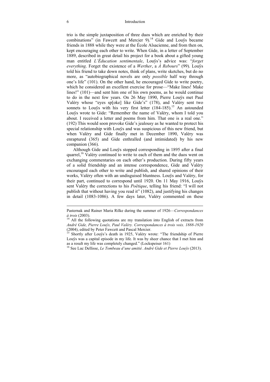trio is the simple juxtaposition of three duos which are enriched by their combinations" (in Fawcett and Mercier 9).<sup>14</sup> Gide and Louys became friends in 1888 while they were at the École Alsacienne, and from then on, kept encouraging each other to write. When Gide, in a letter of September 1889, described in great detail his project for a book about a gifted young man entitled *L'Éducation sentimentale*, Louÿs's advice was: "*forget everything*. Forget the existence of a *Werther*, a *À Rebours*" (99). Louÿs told his friend to take down notes, think of plans, write sketches, but do no more, as "autobiographical novels are only *possible* half way through one's life" (101). On the other hand, he encouraged Gide to write poetry, which he considered an excellent exercise for prose—"Make lines! Make lines!" (101)—and sent him one of his own poems, as he would continue to do in the next few years. On 26 May 1890, Pierre Louÿs met Paul Valéry whose "eyes sp[oke] like Gide's" (178), and Valéry sent two sonnets to Louys with his very first letter  $(184-185)$ .<sup>15</sup> An astounded Louÿs wrote to Gide: "Remember the name of Valéry, whom I told you about. I received a letter and poems from him. That one is a real one." (192) This would soon provoke Gide's jealousy as he wanted to protect his special relationship with Louÿs and was suspicious of this new friend, but when Valéry and Gide finally met in December 1890, Valéry was enraptured (365) and Gide enthralled (and intimidated) by his new companion (366).

Although Gide and Louÿs stopped corresponding in 1895 after a final quarrel,<sup>16</sup> Valéry continued to write to each of them and the duos went on exchanging commentaries on each other's production. During fifty years of a solid friendship and an intense correspondence, Gide and Valéry encouraged each other to write and publish, and shared opinions of their works, Valéry often with an undisguised bluntness. Louÿs and Valéry, for their part, continued to correspond until 1920. On 11 May 1916, Louÿs sent Valéry the corrections to his *Poëtique*, telling his friend: "I will not publish that without having you read it" (1082), and justifying his changes in detail (1083-1086). A few days later, Valéry commented on these

Pasternak and Rainer Maria Rilke during the summer of 1926—*Correspondances à trois* (2003).<br><sup>14</sup> All the following quotations are my translation into English of extracts from

*André Gide, Pierre Louÿs, Paul Valéry. Correspondances à trois voix*. *1888-1920* 

Shortly after Louÿs's death in 1925, Valéry wrote: "The friendship of Pierre Louÿs was a capital episode in my life. It was by sheer chance that I met him and as a result my life was completely changed." (Lockspeiser 161)

<sup>&</sup>lt;sup>16</sup> See Luc Dellisse, *Le Tombeau d'une amitié. André Gide et Pierre Louÿs* (2013).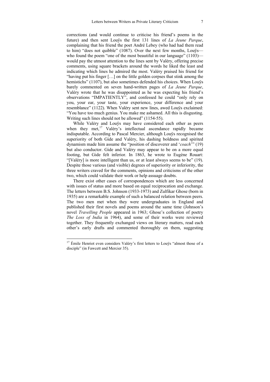corrections (and would continue to criticise his friend's poems in the future) and then sent Louÿs the first 131 lines of *La Jeune Parque*, complaining that his friend the poet André Lebey (who had had them read to him) "does not quibble" (1087). Over the next few months, Louÿs who found the poem "one of the most beautiful in our language" (1103) would pay the utmost attention to the lines sent by Valéry, offering precise comments, using square brackets around the words he liked the least and indicating which lines he admired the most. Valéry praised his friend for "having put his finger […] on the little golden corpses that stink among the hemistichs" (1107), but also sometimes defended his choices. When Louÿs barely commented on seven hand-written pages of *La Jeune Parque*, Valéry wrote that he was disappointed as he was expecting his friend's observations "IMPATIENTLY", and confessed he could "only rely on you, your ear, your taste, your experience, your difference and your resemblance" (1122). When Valéry sent new lines, awed Louÿs exclaimed: "You have too much genius. You make me ashamed. All this is disgusting. Writing such lines should not be allowed" (1154-55).

While Valéry and Louÿs may have considered each other as peers when they met, $17$  Valéry's intellectual ascendance rapidly became indisputable. According to Pascal Mercier, although Louÿs recognised the superiority of both Gide and Valéry, his dashing boldness and spirited dynamism made him assume the "position of discoverer and '*coach*'" (19) but also conductor. Gide and Valéry may appear to be on a more equal footing, but Gide felt inferior. In 1863, he wrote to Eugène Rouart: "[Valéry] is more intelligent than us, or at least always seems to be" (19). Despite those various (and visible) degrees of superiority or inferiority, the three writers craved for the comments, opinions and criticisms of the other two, which could validate their work or help assuage doubts.

There exist other cases of correspondences which are less concerned with issues of status and more based on equal reciprocation and exchange. The letters between B.S. Johnson (1933-1973) and Zulfikar Ghose (born in 1935) are a remarkable example of such a balanced relation between peers. The two men met when they were undergraduates in England and published their first novels and poems around the same time (Johnson's novel *Travelling People* appeared in 1963; Ghose's collection of poetry *The Loss of India* in 1964), and some of their works were reviewed together. They frequently exchanged views on literary matters, read each other's early drafts and commented thoroughly on them, suggesting

 $17$  Émile Henriot even considers Valéry's first letters to Louÿs "almost those of a disciple" (in Fawcett and Mercier 35).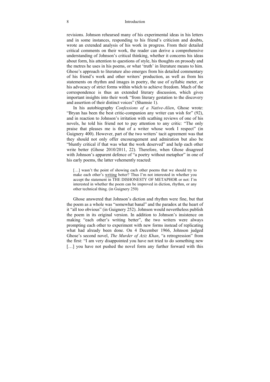revisions. Johnson rehearsed many of his experimental ideas in his letters and in some instances, responding to his friend's criticism and doubts, wrote an extended analysis of his work in progress. From their detailed critical comments on their work, the reader can derive a comprehensive understanding of Johnson's critical thinking, whether it concerns his ideas about form, his attention to questions of style, his thoughts on prosody and the metres he uses in his poems, or what 'truth' in literature means to him. Ghose's approach to literature also emerges from his detailed commentary of his friend's work and other writers' production, as well as from his statements on rhythm and images in poetry, the use of syllabic meter, or his advocacy of strict forms within which to achieve freedom. Much of the correspondence is thus an extended literary discussion, which gives important insights into their work "from literary gestation to the discovery and assertion of their distinct voices" (Shamsie 1).

In his autobiography *Confessions of a Native-Alien*, Ghose wrote: "Bryan has been the best critic-companion any writer can wish for" (92), and in reaction to Johnson's irritation with scathing reviews of one of his novels, he told his friend not to pay attention to any critic: "The only praise that pleases me is that of a writer whose work I respect" (in Guignery 400). However, part of the two writers' tacit agreement was that they should not only offer encouragement and admiration but also be "bluntly critical if that was what the work deserved" and help each other write better (Ghose 2010/2011, 22). Therefore, when Ghose disagreed with Johnson's apparent defence of "a poetry without metaphor" in one of his early poems, the latter vehemently reacted:

[...] wasn't the point of showing each other poems that we should try to make each other's writing better? Thus I'm not interested in whether you accept the statement in THE DISHONESTY OF METAPHOR or not: I'm interested in whether the poem can be improved in diction, rhythm, or any other technical thing. (in Guignery 250)

Ghose answered that Johnson's diction and rhythm were fine, but that the poem as a whole was "somewhat banal" and the paradox at the heart of it "all too obvious" (in Guignery 252). Johnson would nevertheless publish the poem in its original version. In addition to Johnson's insistence on making "each other's writing better", the two writers were always prompting each other to experiment with new forms instead of replicating what had already been done. On 4 December 1966, Johnson judged Ghose's second novel, *The Murder of Aziz Khan*, "a retrogression" from the first: "I am very disappointed you have not tried to do something new [...] you have not pushed the novel form any further forward with this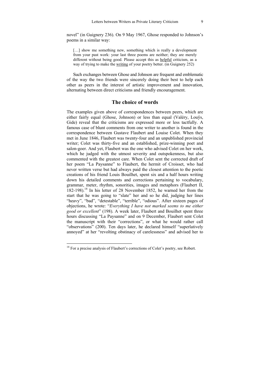novel" (in Guignery 236). On 9 May 1967, Ghose responded to Johnson's poems in a similar way:

[...] show me something new, something which is really a development from your past work: your last three poems are neither; they are merely different without being good. Please accept this as helpful criticism, as a way of trying to make the writing of your poetry better. (in Guignery 252)

Such exchanges between Ghose and Johnson are frequent and emblematic of the way the two friends were sincerely doing their best to help each other as peers in the interest of artistic improvement and innovation, alternating between direct criticisms and friendly encouragement.

#### **The choice of words**

The examples given above of correspondences between peers, which are either fairly equal (Ghose, Johnson) or less than equal (Valéry, Louÿs, Gide) reveal that the criticisms are expressed more or less tactfully. A famous case of blunt comments from one writer to another is found in the correspondence between Gustave Flaubert and Louise Colet. When they met in June 1846, Flaubert was twenty-four and an unpublished provincial writer; Colet was thirty-five and an established, prize-winning poet and salon-goer. And yet, Flaubert was the one who advised Colet on her work, which he judged with the utmost severity and outspokenness, but also commented with the greatest care. When Colet sent the corrected draft of her poem "La Paysanne" to Flaubert, the hermit of Croisset, who had never written verse but had always paid the closest attention to the poetic creations of his friend Louis Bouilhet, spent six and a half hours writing down his detailed comments and corrections pertaining to vocabulary, grammar, meter, rhythm, sonorities, images and metaphors (Flaubert II, 182-198).18 In his letter of 28 November 1852, he warned her from the start that he was going to "slate" her and so he did, judging her lines "heavy", "bad", "detestable", "terrible", "odious". After sixteen pages of objections, he wrote: "*Everything I have not marked seems to me either good or excellent*" (198). A week later, Flaubert and Bouilhet spent three hours discussing "La Paysanne" and on 9 December, Flaubert sent Colet the manuscript with their "corrections", or what he would rather call "observations" (200). Ten days later, he declared himself "superlatively annoyed" at her "revolting obstinacy of carelessness" and advised her to

 $18$  For a precise analysis of Flaubert's corrections of Colet's poetry, see Robert.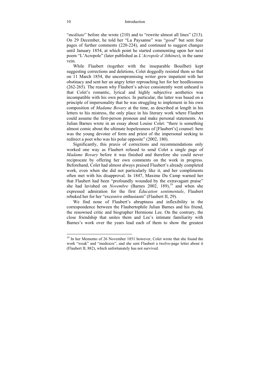"*meditate*" before she wrote (210) and to "rewrite almost all lines" (213). On 29 December, he told her "La Paysanne" was "*good*" but sent four pages of further comments (220-224), and continued to suggest changes until January 1854, at which point he started commenting upon her next poem "L'Acropole" (later published as *L'Acropole d'Athènes*), in the same vein.

While Flaubert (together with the inseparable Bouilhet) kept suggesting corrections and deletions, Colet doggedly resisted them so that on 11 March 1854, the uncompromising writer grew impatient with her obstinacy and sent her an angry letter reproaching her for her heedlessness (262-265). The reason why Flaubert's advice consistently went unheard is that Colet's romantic, lyrical and highly subjective aesthetics was incompatible with his own poetics. In particular, the latter was based on a principle of impersonality that he was struggling to implement in his own composition of *Madame Bovary* at the time, as described at length in his letters to his mistress, the only place in his literary work where Flaubert could assume the first-person pronoun and make personal statements. As Julian Barnes wrote in an essay about Louise Colet: "there is something almost comic about the ultimate hopelessness of [Flaubert's] counsel: here was the young devotee of form and priest of the impersonal seeking to redirect a poet who was his polar opposite" (2002, 180).

Significantly, this praxis of corrections and recommendations only worked one way as Flaubert refused to send Colet a single page of *Madame Bovary* before it was finished and therefore she could never reciprocate by offering her own comments on the work in progress. Beforehand, Colet had almost always praised Flaubert's already completed work, even when she did not particularly like it, and her compliments often met with his disapproval. In 1847, Maxime Du Camp warned her that Flaubert had been "profoundly wounded by the extravagant praise" she had lavished on *Novembre* (Barnes 2002, 189),<sup>19</sup> and when she expressed admiration for the first *Éducation sentimentale*, Flaubert rebuked her for her "excessive enthusiasm" (Flaubert II, 29).

We find none of Flaubert's abruptness and inflexibility in the correspondence between the Flaubertophile Julian Barnes and his friend, the renowned critic and biographer Hermione Lee. On the contrary, the close friendship that unites them and Lee's intimate familiarity with Barnes's work over the years lead each of them to show the greatest

<sup>&</sup>lt;sup>19</sup> In her Memento of 26 November 1851 however, Colet wrote that she found the work "weak" and "mediocre", and she sent Flaubert a twelve-page letter about it (Flaubert II, 882), which unfortunately has not survived.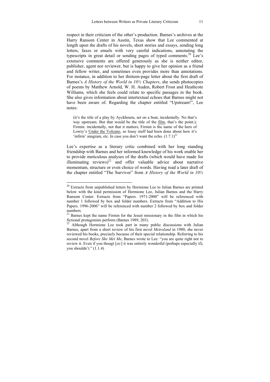respect in their criticism of the other's production. Barnes's archives at the Harry Ransom Center in Austin, Texas show that Lee commented at length upon the drafts of his novels, short stories and essays, sending long letters, faxes or emails with very careful indications, annotating the typescripts in great detail or sending pages of typed comments.<sup>20</sup> Lee's extensive comments are offered generously as she is neither editor, publisher, agent nor reviewer, but is happy to give her opinion as a friend and fellow writer, and sometimes even provides more than annotations. For instance, in addition to her thirteen-page letter about the first draft of Barnes's *A History of the World in 10½ Chapters*, she sends photocopies of poems by Matthew Arnold, W. H. Auden, Robert Frost and Heathcote Williams, which she feels could relate to specific passages in the book. She also gives information about intertextual echoes that Barnes might not have been aware of. Regarding the chapter entitled "Upstream!", Lee notes:

(it's the title of a play by Ayckbourn, set on a boat, incidentally. No that's way upstream. But that would be the title of the film, that's the point.): Firmin: incidentally, not that it matters, Firmin is the name of the hero of Lowry's Under the Volcano, so lousy stuff had been done about how it's 'infirm' anagram, etc. In case you don't want the echo.  $(1.7.1)^{21}$ 

Lee's expertise as a literary critic combined with her long standing friendship with Barnes and her informed knowledge of his work enable her to provide meticulous analyses of the drafts (which would have made for illuminating reviews)<sup>22</sup> and offer valuable advice about narrative momentum, structure or even choice of words. Having read a later draft of the chapter entitled "The Survivor" from *A History of the World in 10½* 

 $20$  Extracts from unpublished letters by Hermione Lee to Julian Barnes are printed below with the kind permission of Hermione Lee, Julian Barnes and the Harry Ransom Center. Extracts from "Papers. 1971-2000" will be referenced with number 1 followed by box and folder numbers. Extracts from "Addition to His Papers. 1996-2006" will be referenced with number 2 followed by box and folder numbers.

 $21$  Barnes kept the name Firmin for the Jesuit missionary in the film in which his fictional protagonists perform (Barnes 1989, 203).

<sup>&</sup>lt;sup>22</sup> Although Hermione Lee took part in many public discussions with Julian Barnes, apart from a short review of his first novel *Metroland* in 1980, she never reviewed his books, precisely because of their special relationship. Referring to his second novel *Before She Met Me*, Barnes wrote to Lee: "you are quite right not to review it. Even if you thougt [*sic*] it was entirely wonderful (perhaps especially if), you shouldn't." (1.1.4)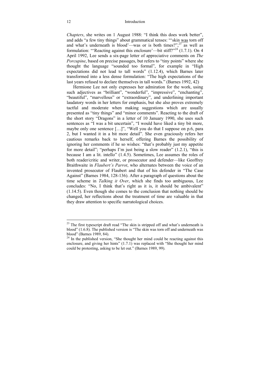*Chapters*, she writes on 1 August 1988: "I think this does work better". and adds "a few tiny things" about grammatical tenses: "'skin was torn off and what's underneath is blood'—was or is both times?",  $23\overline{as}$  well as formulation: "Reacting against this enclosure'—bit stiff?"<sup>24</sup>  $(1.7.1)$ . On 4 April 1992, Lee sends a six-page letter of appreciative comments on *The Porcupine*, based on precise passages, but refers to "tiny points" where she thought the language "sounded too formal", for example in "High expectations did not lead to tall words" (1.12.4), which Barnes later transformed into a less dense formulation: "The high expectations of the last years refused to declare themselves in tall words." (Barnes 1992, 42)

Hermione Lee not only expresses her admiration for the work, using such adjectives as "brilliant", "wonderful", "impressive", "enchanting", "beautiful", "marvellous" or "extraordinary", and underlining important laudatory words in her letters for emphasis, but she also proves extremely tactful and moderate when making suggestions which are usually presented as "tiny things" and "minor comments". Reacting to the draft of the short story "Dragons" in a letter of 10 January 1990, she uses such sentences as "I was a bit uncertain", "I would have liked a tiny bit more, maybe only one sentence [...]", "Well you do that I suppose on p.6, para 2, but I wanted it in a bit more detail". She even graciously refers her cautious remarks back to herself, offering Barnes the possibility of ignoring her comments if he so wishes: "that's probably just my appetite for more detail"; "perhaps I'm just being a slow reader" (1.2.1), "this is because I am a lit. intello" (1.4.5). Sometimes, Lee assumes the roles of both reader/critic and writer, or prosecutor and defender—like Geoffrey Braithwaite in *Flaubert's Parrot*, who alternates between the voice of an invented prosecutor of Flaubert and that of his defender in "The Case Against" (Barnes 1984, 128-136). After a paragraph of questions about the time scheme in *Talking it Over*, which she finds too ambiguous, Lee concludes: "No, I think that's right as it is, it should be ambivalent" (1.14.5). Even though she comes to the conclusion that nothing should be changed, her reflections about the treatment of time are valuable in that they draw attention to specific narratological choices.

 $2<sup>23</sup>$  The first typescript draft read "The skin is stripped off and what's underneath is blood" (1.6.8). The published version is "The skin was torn off and underneath was blood" (Barnes 1989, 84).

<sup>&</sup>lt;sup>24</sup> In the published version, "She thought her mind could be reacting against this enclosure, and giving her hints" (1.7.1) was replaced with "She thought her mind could be protesting, asking to be let out." (Barnes 1989, 99).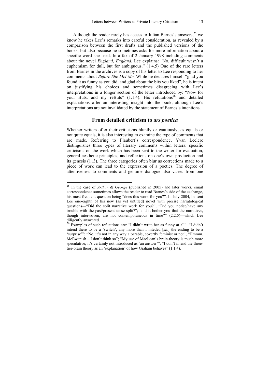Although the reader rarely has access to Julian Barnes's answers,  $25$  we know he takes Lee's remarks into careful consideration, as revealed by a comparison between the first drafts and the published versions of the books, but also because he sometimes asks for more information about a specific word she used. In a fax of 2 January 1998 including comments about the novel *England, England*, Lee explains: "No, difficult wasn't a euphemism for dull, but for ambiguous." (1.4.5) One of the rare letters from Barnes in the archives is a copy of his letter to Lee responding to her comments about *Before She Met Me*. While he declares himself "glad you found it as funny as you did, and glad about the bits you liked", he is intent on justifying his choices and sometimes disagreeing with Lee's interpretations in a longer section of the letter introduced by: "Now for your Buts, and my reButs"  $(1.1.4)$ . His refutations<sup>26</sup> and detailed explanations offer an interesting insight into the book, although Lee's interpretations are not invalidated by the statement of Barnes's intentions.

#### **From detailed criticism to** *ars poetica*

Whether writers offer their criticisms bluntly or cautiously, as equals or not quite equals, it is also interesting to examine the type of comments that are made. Referring to Flaubert's correspondence, Yvan Leclerc distinguishes three types of literary comments within letters: specific criticisms on the work which has been sent to the writer for evaluation, general aesthetic principles, and reflexions on one's own production and its genesis (113). The three categories often blur as corrections made to a piece of work can lead to the expression of a poetics. The degree of attentiveness to comments and genuine dialogue also varies from one

<sup>25</sup> In the case of *Arthur & George* (published in 2005) and later works, email correspondence sometimes allows the reader to read Barnes's side of the exchange, his most frequent question being "does this work for you?". In July 2004, he sent Lee one-eighth of his new (as yet untitled) novel with precise narratological questions—"Did the split narrative work for you?"; "Did you notice/have any trouble with the past/present tense split?"; "did it bother you that the narratives, though interwoven, are not contemporaneous in time?" (2.2.5)—which Lee diligently answered.

 $26$  Examples of such refutations are: "I didn't write her as funny at all", "I didn't intend there to be a 'switch', any more than I inteded [*sic*] the ending to be a 'surprise'"; "No, it's not in any way a parable, covertly feminist or not"; "Hmmm. McEwanish – I don't think so"; "My use of MacLean's brain-theory is much more speculative; it's certainly not introduced as 'an answer'"; "I don't intend the threetier-brain theory as an 'explanation' of how Graham behaves" (1.1.4).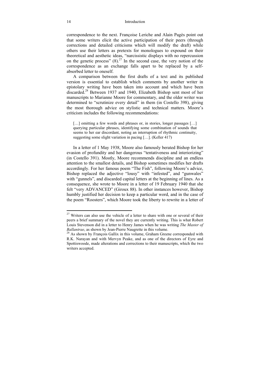correspondence to the next. Françoise Leriche and Alain Pagès point out that some writers elicit the active participation of their peers (through corrections and detailed criticisms which will modify the draft) while others use their letters as pretexts for monologues to expound on their theoretical and aesthetic ideas, "narcissistic displays with no repercussion on the genetic process"  $(8)$ .<sup>27</sup> In the second case, the very notion of the correspondence as an exchange falls apart to be replaced by a selfabsorbed letter to oneself.

A comparison between the first drafts of a text and its published version is essential to establish which comments by another writer in epistolary writing have been taken into account and which have been discarded.28 Between 1937 and 1940, Elizabeth Bishop sent most of her manuscripts to Marianne Moore for commentary, and the older writer was determined to "scrutinize every detail" in them (in Costello 398), giving the most thorough advice on stylistic and technical matters. Moore's criticism includes the following recommendations:

[...] omitting a few words and phrases or, in stories, longer passages [...] querying particular phrases, identifying some combination of sounds that seems to her ear discordant, noting an interruption of rhythmic continuity, suggesting some slight variation in pacing […]. (Keller 417)

In a letter of 1 May 1938, Moore also famously berated Bishop for her evasion of profundity and her dangerous "tentativeness and interiorizing" (in Costello 391). Mostly, Moore recommends discipline and an endless attention to the smallest details, and Bishop sometimes modifies her drafts accordingly. For her famous poem "The Fish", following Moore's advice, Bishop replaced the adjective "lousy" with "infested", and "gunwales" with "gunnels", and discarded capital letters at the beginning of lines. As a consequence, she wrote to Moore in a letter of 19 February 1940 that she felt "very ADVANCED" (Giroux 88). In other instances however, Bishop humbly justified her decision to keep a particular word, and in the case of the poem "Roosters", which Moore took the liberty to rewrite in a letter of

 $27$  Writers can also use the vehicle of a letter to share with one or several of their peers a brief summary of the novel they are currently writing. This is what Robert Louis Stevenson did in a letter to Henry James when he was writing *The Master of* 

<sup>&</sup>lt;sup>28</sup> As shown by Francois Gallix in this volume, Graham Greene corresponded with R.K. Narayan and with Mervyn Peake, and as one of the directors of Eyre and Spottiswoode, made alterations and corrections to their manuscripts, which the two writers accepted.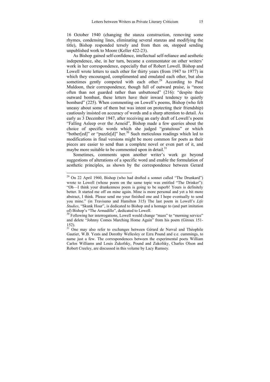16 October 1940 (changing the stanza construction, removing some rhymes, condensing lines, eliminating several stanzas and modifying the title), Bishop responded tersely and from then on, stopped sending unpublished work to Moore (Keller 422-23).

As Bishop gained self-confidence, intellectual self-reliance and aesthetic independence, she, in her turn, became a commentator on other writers' work in her correspondence, especially that of Robert Lowell. Bishop and Lowell wrote letters to each other for thirty years (from 1947 to 1977) in which they encouraged, complimented and emulated each other, but also sometimes gently competed with each other.<sup>29</sup> According to Paul Muldoon, their correspondence, though full of outward praise, is "more often than not guarded rather than unbuttoned" (216): "despite their outward bombast, these letters have their inward tendency to quietly bombard" (225). When commenting on Lowell's poems, Bishop (who felt uneasy about some of them but was intent on protecting their friendship) cautiously insisted on accuracy of words and a sharp attention to detail. As early as 3 December 1947, after receiving an early draft of Lowell's poem "Falling Asleep over the Aeneid", Bishop made a few queries about the choice of specific words which she judged "gratuitous" or which "bother[ed]" or "puzzle[d]" her.<sup>30</sup> Such meticulous readings which led to modifications in final versions might be more common for poets as their pieces are easier to send than a complete novel or even part of it, and maybe more suitable to be commented upon in detail. $31$ 

Sometimes, comments upon another writer's work go beyond suggestions of alterations of a specific word and enable the formulation of aesthetic principles, as shown by the correspondence between Gerard

 $29$  On 22 April 1960, Bishop (who had drafted a sonnet called "The Drunkard") wrote to Lowell (whose poem on the same topic was entitled "The Drinker"): "Oh—I think your drunkenness poem is going to be superb! Yours is definitely better. It started me off on mine again. Mine is more personal and yet a bit more abstract, I think. Please send me your finished one and I hope eventually to send you mine." (in Travisano and Hamilton 315) The last poem in Lowell's *Life Studies*, "Skunk Hour", is dedicated to Bishop and a homage to (and part imitation of) Bishop's "The Armadillo", dedicated to Lowell.

<sup>&</sup>lt;sup>30</sup> Following her interrogations, Lowell would change "mass" to "morning service" and delete "Johnny Comes Marching Home Again" from his poem (Giroux 151- 152).

<sup>&</sup>lt;sup>31</sup> One may also refer to exchanges between Gérard de Nerval and Théophile Gautier, W.B. Yeats and Dorothy Wellesley or Ezra Pound and e.e. cummings, to name just a few. The correspondences between the experimental poets William Carlos Williams and Louis Zukofsky, Pound and Zukofsky, Charles Olson and Robert Creeley, are discussed in this volume by Lacy Rumsey.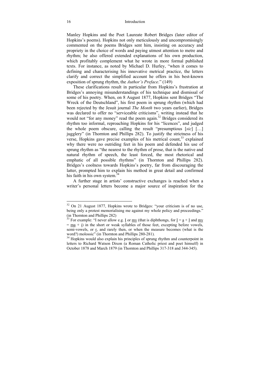Manley Hopkins and the Poet Laureate Robert Bridges (later editor of Hopkins's poems). Hopkins not only meticulously and uncompromisingly commented on the poems Bridges sent him, insisting on accuracy and propriety in the choice of words and paying utmost attention to metre and rhythm; he also offered extended explanations of his own production, which profitably complement what he wrote in more formal published texts. For instance, as noted by Michael D. Hurley, "when it comes to defining and characterising his innovative metrical practice, the letters clarify and correct the simplified account he offers in his best-known exposition of sprung rhythm, the *Author's Preface*." (149)

These clarifications result in particular from Hopkins's frustration at Bridges's annoying misunderstandings of his technique and dismissal of some of his poetry. When, on 8 August 1877, Hopkins sent Bridges "The Wreck of the Deutschland", his first poem in sprung rhythm (which had been rejected by the Jesuit journal *The Month* two years earlier), Bridges was declared to offer no "serviceable criticisms", writing instead that he would not "for any money" read the poem again.<sup>32</sup> Bridges considered its rhythm too informal, reproaching Hopkins for his "licences", and judged the whole poem obscure, calling the result "presumptious [*sic*] […] jugglery" (in Thornton and Phillips 282). To justify the strictness of his verse. Hopkins gave precise examples of his metrical count.<sup>33</sup> explained why there were no outriding feet in his poem and defended his use of sprung rhythm as "the nearest to the rhythm of prose, that is the native and natural rhythm of speech, the least forced, the most rhetorical and emphatic of all possible rhythms" (in Thornton and Phillips 282). Bridges's coolness towards Hopkins's poetry, far from discouraging the latter, prompted him to explain his method in great detail and confirmed his faith in his own system.<sup>34</sup>

A further stage in artists' constructive exchanges is reached when a writer's personal letters become a major source of inspiration for the

 $32$  On 21 August 1877, Hopkins wrote to Bridges: "your criticism is of no use, being only a protest memorialising me against my whole policy and proceedings." (in Thornton and Phillips 282)

<sup>&</sup>lt;sup>33</sup> For example: "I never allow e.g. <u>I</u> or <u>my</u> (that is diphthongs, for <u>I</u> = <u>a</u> + <u>I</u> and <u>my</u>  $=$  ma  $+$  i) in the short or weak syllables of those feet, excepting before vowels, semi-vowels, or r, and rarely then, or when the measure becomes (what is the word?) molossic" (in Thornton and Phillips 280-281).

<sup>&</sup>lt;sup>34</sup> Hopkins would also explain his principles of sprung rhythm and counterpoint in letters to Richard Watson Dixon (a Roman Catholic priest and poet himself) in October 1878 and March 1879 (in Thornton and Phillips 317-318 and 344-345).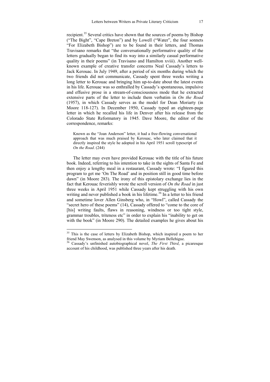recipient.<sup>35</sup> Several critics have shown that the sources of poems by Bishop ("The Bight", "Cape Breton") and by Lowell ("Water", the four sonnets "For Elizabeth Bishop") are to be found in their letters, and Thomas Travisano remarks that "the conversationally performative quality of the letters gradually began to find its way into a similarly casual performative quality in their poems" (in Travisano and Hamilton xviii). Another wellknown example of creative transfer concerns Neal Cassady's letters to Jack Kerouac. In July 1949, after a period of six months during which the two friends did not communicate, Cassady spent three weeks writing a long letter to Kerouac and bringing him up-to-date about the latest events in his life. Kerouac was so enthralled by Cassady's spontaneous, impulsive and effusive prose in a stream-of-consciousness mode that he extracted extensive parts of the letter to include them verbatim in *On the Road* (1957), in which Cassady serves as the model for Dean Moriarty (in Moore 118-127). In December 1950, Cassady typed an eighteen-page letter in which he recalled his life in Denver after his release from the Colorado State Reformatory in 1945. Dave Moore, the editor of the correspondence, remarks:

Known as the "Joan Anderson" letter, it had a free-flowing conversational approach that was much praised by Kerouac, who later claimed that it directly inspired the style he adopted in his April 1951 scroll typescript of *On the Road*. (244)

The letter may even have provided Kerouac with the title of his future book. Indeed, referring to his intention to take in the sights of Santa Fe and then enjoy a lengthy meal in a restaurant, Cassady wrote: "I figured this program to get me 'On The Road' and in position still in good time before dawn" (in Moore 283). The irony of this epistolary exchange lies in the fact that Kerouac feverishly wrote the scroll version of *On the Road* in just three weeks in April 1951 while Cassady kept struggling with his own writing and never published a book in his lifetime.<sup>36</sup> In a letter to his friend and sometime lover Allen Ginsberg who, in "Howl", called Cassady the "secret hero of these poems" (14), Cassady offered to "come to the core of [his] writing faults, flaws in reasoning, windness or too tight style, grammar troubles, triteness etc" in order to explain his "inability to get on with the book" (in Moore 290). The detailed examples he gives about his

 $35$  This is the case of letters by Elizabeth Bishop, which inspired a poem to her friend May Swenson, as analysed in this volume by Myriam Bellehigue. 36 Cassady's unfinished autobiographical novel, *The First Third*, a picaresque

account of his childhood, was published three years after his death.